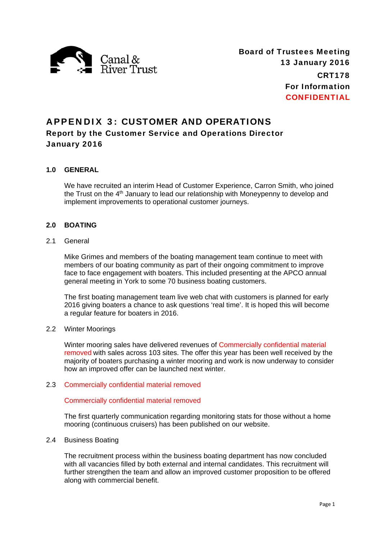

# APPENDIX 3: CUSTOMER AND OPERATIONS

## Report by the Customer Service and Operations Director January 2016

## **1.0 GENERAL**

We have recruited an interim Head of Customer Experience, Carron Smith, who joined the Trust on the 4<sup>th</sup> January to lead our relationship with Moneypenny to develop and implement improvements to operational customer journeys.

## **2.0 BOATING**

## 2.1 General

Mike Grimes and members of the boating management team continue to meet with members of our boating community as part of their ongoing commitment to improve face to face engagement with boaters. This included presenting at the APCO annual general meeting in York to some 70 business boating customers.

The first boating management team live web chat with customers is planned for early 2016 giving boaters a chance to ask questions 'real time'. It is hoped this will become a regular feature for boaters in 2016.

#### 2.2 Winter Moorings

Winter mooring sales have delivered revenues of Commercially confidential material removed with sales across 103 sites. The offer this year has been well received by the majority of boaters purchasing a winter mooring and work is now underway to consider how an improved offer can be launched next winter.

#### 2.3 Commercially confidential material removed

## Commercially confidential material removed

The first quarterly communication regarding monitoring stats for those without a home mooring (continuous cruisers) has been published on our website.

#### 2.4 Business Boating

The recruitment process within the business boating department has now concluded with all vacancies filled by both external and internal candidates. This recruitment will further strengthen the team and allow an improved customer proposition to be offered along with commercial benefit.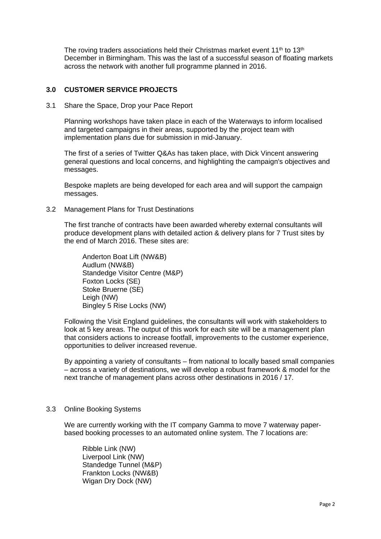The roving traders associations held their Christmas market event  $11<sup>th</sup>$  to  $13<sup>th</sup>$ December in Birmingham. This was the last of a successful season of floating markets across the network with another full programme planned in 2016.

#### **3.0 CUSTOMER SERVICE PROJECTS**

3.1 Share the Space, Drop your Pace Report

Planning workshops have taken place in each of the Waterways to inform localised and targeted campaigns in their areas, supported by the project team with implementation plans due for submission in mid-January.

The first of a series of Twitter Q&As has taken place, with Dick Vincent answering general questions and local concerns, and highlighting the campaign's objectives and messages.

Bespoke maplets are being developed for each area and will support the campaign messages.

3.2 Management Plans for Trust Destinations

The first tranche of contracts have been awarded whereby external consultants will produce development plans with detailed action & delivery plans for 7 Trust sites by the end of March 2016. These sites are:

Anderton Boat Lift (NW&B) Audlum (NW&B) Standedge Visitor Centre (M&P) Foxton Locks (SE) Stoke Bruerne (SE) Leigh (NW) Bingley 5 Rise Locks (NW)

Following the Visit England guidelines, the consultants will work with stakeholders to look at 5 key areas. The output of this work for each site will be a management plan that considers actions to increase footfall, improvements to the customer experience, opportunities to deliver increased revenue.

By appointing a variety of consultants – from national to locally based small companies – across a variety of destinations, we will develop a robust framework & model for the next tranche of management plans across other destinations in 2016 / 17.

#### 3.3 Online Booking Systems

We are currently working with the IT company Gamma to move 7 waterway paperbased booking processes to an automated online system. The 7 locations are:

Ribble Link (NW) Liverpool Link (NW) Standedge Tunnel (M&P) Frankton Locks (NW&B) Wigan Dry Dock (NW)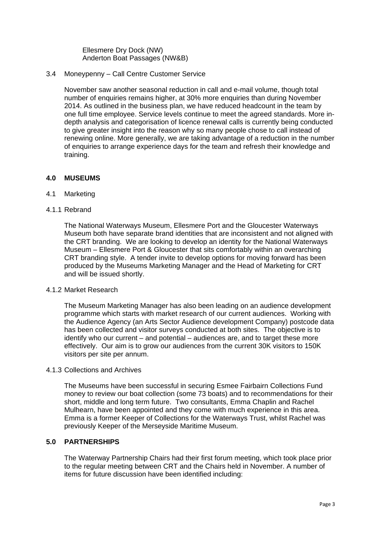Ellesmere Dry Dock (NW) Anderton Boat Passages (NW&B)

3.4 Moneypenny – Call Centre Customer Service

November saw another seasonal reduction in call and e-mail volume, though total number of enquiries remains higher, at 30% more enquiries than during November 2014. As outlined in the business plan, we have reduced headcount in the team by one full time employee. Service levels continue to meet the agreed standards. More indepth analysis and categorisation of licence renewal calls is currently being conducted to give greater insight into the reason why so many people chose to call instead of renewing online. More generally, we are taking advantage of a reduction in the number of enquiries to arrange experience days for the team and refresh their knowledge and training.

#### **4.0 MUSEUMS**

- 4.1 Marketing
- 4.1.1 Rebrand

The National Waterways Museum, Ellesmere Port and the Gloucester Waterways Museum both have separate brand identities that are inconsistent and not aligned with the CRT branding. We are looking to develop an identity for the National Waterways Museum – Ellesmere Port & Gloucester that sits comfortably within an overarching CRT branding style. A tender invite to develop options for moving forward has been produced by the Museums Marketing Manager and the Head of Marketing for CRT and will be issued shortly.

#### 4.1.2 Market Research

The Museum Marketing Manager has also been leading on an audience development programme which starts with market research of our current audiences. Working with the Audience Agency (an Arts Sector Audience development Company) postcode data has been collected and visitor surveys conducted at both sites. The objective is to identify who our current – and potential – audiences are, and to target these more effectively. Our aim is to grow our audiences from the current 30K visitors to 150K visitors per site per annum.

#### 4.1.3 Collections and Archives

The Museums have been successful in securing Esmee Fairbairn Collections Fund money to review our boat collection (some 73 boats) and to recommendations for their short, middle and long term future. Two consultants, Emma Chaplin and Rachel Mulhearn, have been appointed and they come with much experience in this area. Emma is a former Keeper of Collections for the Waterways Trust, whilst Rachel was previously Keeper of the Merseyside Maritime Museum.

#### **5.0 PARTNERSHIPS**

The Waterway Partnership Chairs had their first forum meeting, which took place prior to the regular meeting between CRT and the Chairs held in November. A number of items for future discussion have been identified including: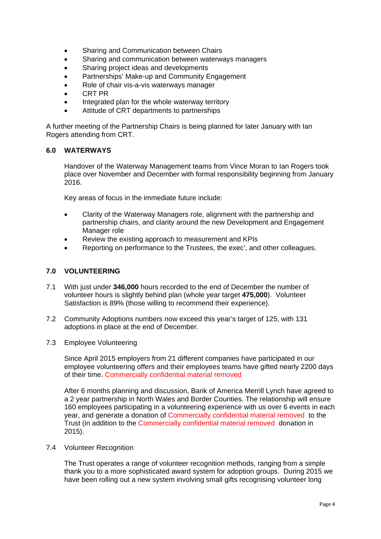- Sharing and Communication between Chairs
- Sharing and communication between waterways managers
- Sharing project ideas and developments
- Partnerships' Make-up and Community Engagement
- Role of chair vis-a-vis waterways manager
- CRT PR
- Integrated plan for the whole waterway territory
- Attitude of CRT departments to partnerships

A further meeting of the Partnership Chairs is being planned for later January with Ian Rogers attending from CRT.

#### **6.0 WATERWAYS**

Handover of the Waterway Management teams from Vince Moran to Ian Rogers took place over November and December with formal responsibility beginning from January 2016.

Key areas of focus in the immediate future include:

- Clarity of the Waterway Managers role, alignment with the partnership and partnership chairs, and clarity around the new Development and Engagement Manager role
- Review the existing approach to measurement and KPIs
- Reporting on performance to the Trustees, the exec', and other colleagues.

## **7.0 VOLUNTEERING**

- 7.1 With just under **346,000** hours recorded to the end of December the number of volunteer hours is slightly behind plan (whole year target **475,000**). Volunteer Satisfaction is 89% (those willing to recommend their experience).
- 7.2 Community Adoptions numbers now exceed this year's target of 125, with 131 adoptions in place at the end of December.
- 7.3 Employee Volunteering

Since April 2015 employers from 21 different companies have participated in our employee volunteering offers and their employees teams have gifted nearly 2200 days of their time. Commercially confidential material removed

After 6 months planning and discussion, Bank of America Merrill Lynch have agreed to a 2 year partnership in North Wales and Border Counties. The relationship will ensure 160 employees participating in a volunteering experience with us over 6 events in each year, and generate a donation of Commercially confidential material removed to the Trust (in addition to the Commercially confidential material removed donation in 2015).

#### 7.4 Volunteer Recognition

The Trust operates a range of volunteer recognition methods, ranging from a simple thank you to a more sophisticated award system for adoption groups. During 2015 we have been rolling out a new system involving small gifts recognising volunteer long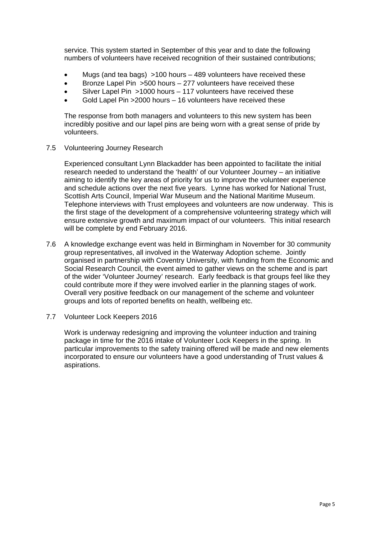service. This system started in September of this year and to date the following numbers of volunteers have received recognition of their sustained contributions;

- Mugs (and tea bags) >100 hours 489 volunteers have received these
- Bronze Lapel Pin >500 hours 277 volunteers have received these
- Silver Lapel Pin >1000 hours 117 volunteers have received these
- Gold Lapel Pin >2000 hours 16 volunteers have received these

The response from both managers and volunteers to this new system has been incredibly positive and our lapel pins are being worn with a great sense of pride by volunteers.

7.5 Volunteering Journey Research

Experienced consultant Lynn Blackadder has been appointed to facilitate the initial research needed to understand the 'health' of our Volunteer Journey – an initiative aiming to identify the key areas of priority for us to improve the volunteer experience and schedule actions over the next five years. Lynne has worked for National Trust, Scottish Arts Council, Imperial War Museum and the National Maritime Museum. Telephone interviews with Trust employees and volunteers are now underway. This is the first stage of the development of a comprehensive volunteering strategy which will ensure extensive growth and maximum impact of our volunteers. This initial research will be complete by end February 2016.

- 7.6 A knowledge exchange event was held in Birmingham in November for 30 community group representatives, all involved in the Waterway Adoption scheme. Jointly organised in partnership with Coventry University, with funding from the Economic and Social Research Council, the event aimed to gather views on the scheme and is part of the wider 'Volunteer Journey' research. Early feedback is that groups feel like they could contribute more if they were involved earlier in the planning stages of work. Overall very positive feedback on our management of the scheme and volunteer groups and lots of reported benefits on health, wellbeing etc.
- 7.7 Volunteer Lock Keepers 2016

Work is underway redesigning and improving the volunteer induction and training package in time for the 2016 intake of Volunteer Lock Keepers in the spring. In particular improvements to the safety training offered will be made and new elements incorporated to ensure our volunteers have a good understanding of Trust values & aspirations.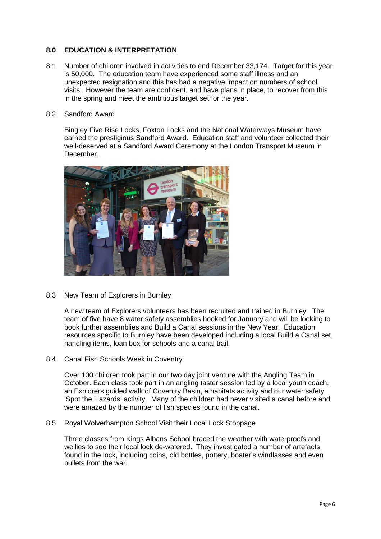#### **8.0 EDUCATION & INTERPRETATION**

8.1 Number of children involved in activities to end December 33,174. Target for this year is 50,000. The education team have experienced some staff illness and an unexpected resignation and this has had a negative impact on numbers of school visits. However the team are confident, and have plans in place, to recover from this in the spring and meet the ambitious target set for the year.

#### 8.2 Sandford Award

Bingley Five Rise Locks, Foxton Locks and the National Waterways Museum have earned the prestigious Sandford Award. Education staff and volunteer collected their well-deserved at a Sandford Award Ceremony at the London Transport Museum in December.



8.3 New Team of Explorers in Burnley

A new team of Explorers volunteers has been recruited and trained in Burnley. The team of five have 8 water safety assemblies booked for January and will be looking to book further assemblies and Build a Canal sessions in the New Year. Education resources specific to Burnley have been developed including a local Build a Canal set, handling items, loan box for schools and a canal trail.

8.4 Canal Fish Schools Week in Coventry

Over 100 children took part in our two day joint venture with the Angling Team in October. Each class took part in an angling taster session led by a local youth coach, an Explorers guided walk of Coventry Basin, a habitats activity and our water safety 'Spot the Hazards' activity. Many of the children had never visited a canal before and were amazed by the number of fish species found in the canal.

8.5 Royal Wolverhampton School Visit their Local Lock Stoppage

Three classes from Kings Albans School braced the weather with waterproofs and wellies to see their local lock de-watered. They investigated a number of artefacts found in the lock, including coins, old bottles, pottery, boater's windlasses and even bullets from the war.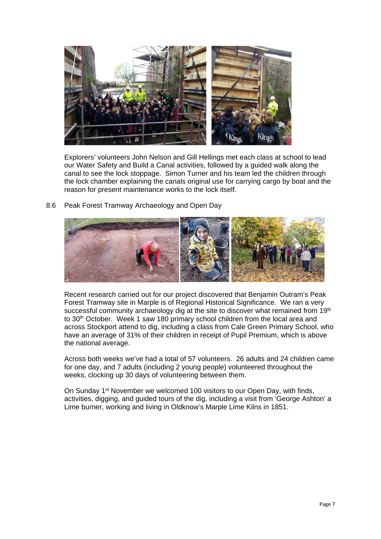

Explorers' volunteers John Nelson and Gill Hellings met each class at school to lead our Water Safety and Build a Canal activities, followed by a guided walk along the canal to see the lock stoppage. Simon Turner and his team led the children through the lock chamber explaining the canals original use for carrying cargo by boat and the reason for present maintenance works to the lock itself.

8.6 Peak Forest Tramway Archaeology and Open Day



Recent research carried out for our project discovered that Benjamin Outram's Peak Forest Tramway site in Marple is of Regional Historical Significance. We ran a very successful community archaeology dig at the site to discover what remained from 19th to 30<sup>th</sup> October. Week 1 saw 180 primary school children from the local area and across Stockport attend to dig, including a class from Cale Green Primary School, who have an average of 31% of their children in receipt of Pupil Premium, which is above the national average.

Across both weeks we've had a total of 57 volunteers. 26 adults and 24 children came for one day, and 7 adults (including 2 young people) volunteered throughout the weeks, clocking up 30 days of volunteering between them.

On Sunday 1st November we welcomed 100 visitors to our Open Day, with finds, activities, digging, and guided tours of the dig, including a visit from 'George Ashton' a Lime burner, working and living in Oldknow's Marple Lime Kilns in 1851.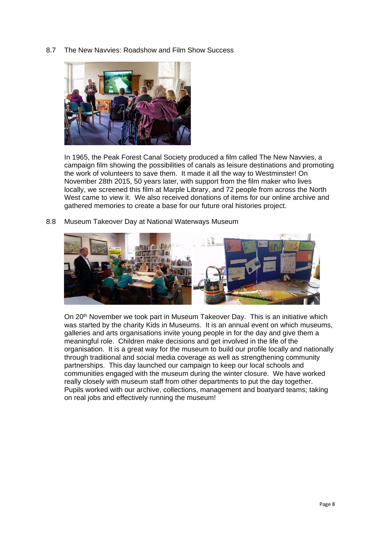8.7 The New Navvies: Roadshow and Film Show Success



In 1965, the Peak Forest Canal Society produced a film called The New Navvies, a campaign film showing the possibilities of canals as leisure destinations and promoting the work of volunteers to save them. It made it all the way to Westminster! On November 28th 2015, 50 years later, with support from the film maker who lives locally, we screened this film at Marple Library, and 72 people from across the North West came to view it. We also received donations of items for our online archive and gathered memories to create a base for our future oral histories project.

8.8 Museum Takeover Day at National Waterways Museum



On 20<sup>th</sup> November we took part in Museum Takeover Day. This is an initiative which was started by the charity Kids in Museums. It is an annual event on which museums, galleries and arts organisations invite young people in for the day and give them a meaningful role. Children make decisions and get involved in the life of the organisation. It is a great way for the museum to build our profile locally and nationally through traditional and social media coverage as well as strengthening community partnerships. This day launched our campaign to keep our local schools and communities engaged with the museum during the winter closure. We have worked really closely with museum staff from other departments to put the day together. Pupils worked with our archive, collections, management and boatyard teams; taking on real jobs and effectively running the museum!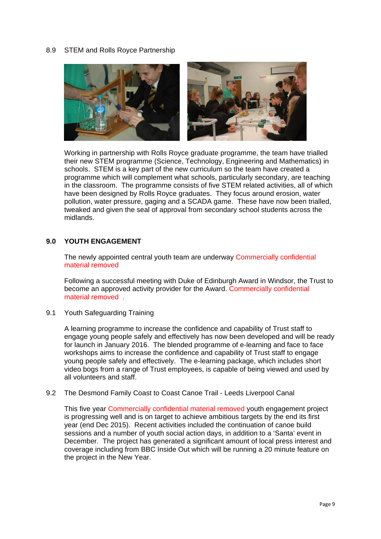#### 8.9 STEM and Rolls Royce Partnership



Working in partnership with Rolls Royce graduate programme, the team have trialled their new STEM programme (Science, Technology, Engineering and Mathematics) in schools. STEM is a key part of the new curriculum so the team have created a programme which will complement what schools, particularly secondary, are teaching in the classroom. The programme consists of five STEM related activities, all of which have been designed by Rolls Royce graduates. They focus around erosion, water pollution, water pressure, gaging and a SCADA game. These have now been trialled, tweaked and given the seal of approval from secondary school students across the midlands.

#### **9.0 YOUTH ENGAGEMENT**

The newly appointed central youth team are underway Commercially confidential material removed

Following a successful meeting with Duke of Edinburgh Award in Windsor, the Trust to become an approved activity provider for the Award. Commercially confidential material removed .

9.1 Youth Safeguarding Training

A learning programme to increase the confidence and capability of Trust staff to engage young people safely and effectively has now been developed and will be ready for launch in January 2016. The blended programme of e-learning and face to face workshops aims to increase the confidence and capability of Trust staff to engage young people safely and effectively. The e-learning package, which includes short video bogs from a range of Trust employees, is capable of being viewed and used by all volunteers and staff.

#### 9.2 The Desmond Family Coast to Coast Canoe Trail - Leeds Liverpool Canal

This five year Commercially confidential material removed youth engagement project is progressing well and is on target to achieve ambitious targets by the end its first year (end Dec 2015). Recent activities included the continuation of canoe build sessions and a number of youth social action days, in addition to a 'Santa' event in December. The project has generated a significant amount of local press interest and coverage including from BBC Inside Out which will be running a 20 minute feature on the project in the New Year.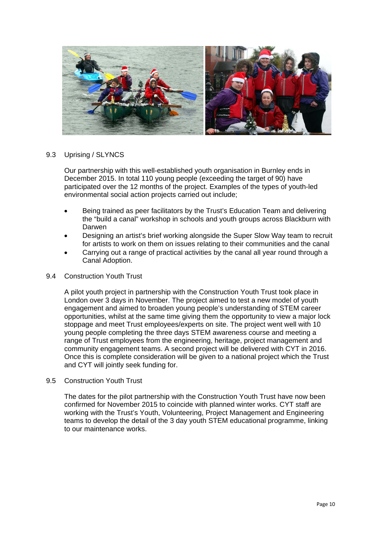

#### 9.3 Uprising / SLYNCS

Our partnership with this well-established youth organisation in Burnley ends in December 2015. In total 110 young people (exceeding the target of 90) have participated over the 12 months of the project. Examples of the types of youth-led environmental social action projects carried out include;

- Being trained as peer facilitators by the Trust's Education Team and delivering the "build a canal" workshop in schools and youth groups across Blackburn with Darwen
- Designing an artist's brief working alongside the Super Slow Way team to recruit for artists to work on them on issues relating to their communities and the canal
- Carrying out a range of practical activities by the canal all year round through a Canal Adoption.

#### 9.4 Construction Youth Trust

A pilot youth project in partnership with the Construction Youth Trust took place in London over 3 days in November. The project aimed to test a new model of youth engagement and aimed to broaden young people's understanding of STEM career opportunities, whilst at the same time giving them the opportunity to view a major lock stoppage and meet Trust employees/experts on site. The project went well with 10 young people completing the three days STEM awareness course and meeting a range of Trust employees from the engineering, heritage, project management and community engagement teams. A second project will be delivered with CYT in 2016. Once this is complete consideration will be given to a national project which the Trust and CYT will jointly seek funding for.

9.5 Construction Youth Trust

The dates for the pilot partnership with the Construction Youth Trust have now been confirmed for November 2015 to coincide with planned winter works. CYT staff are working with the Trust's Youth, Volunteering, Project Management and Engineering teams to develop the detail of the 3 day youth STEM educational programme, linking to our maintenance works.